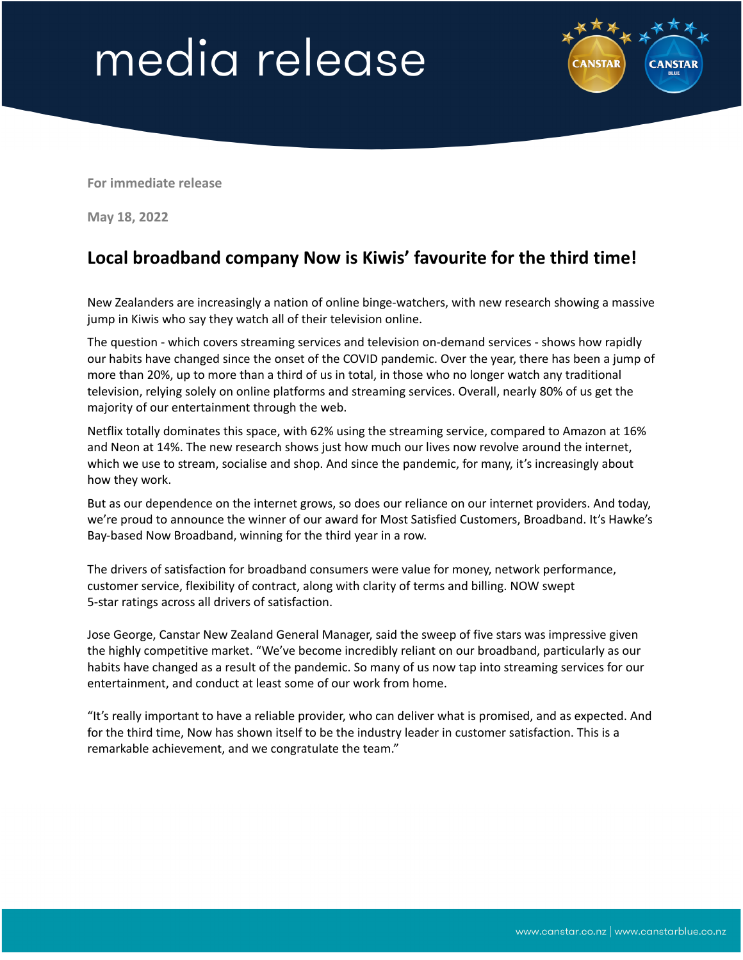## media release



**For immediate release**

**May 18, 2022**

## **Local broadband company Now is Kiwis' favourite for the third time!**

New Zealanders are increasingly a nation of online binge-watchers, with new research showing a massive jump in Kiwis who say they watch all of their television online.

The question - which covers streaming services and television on-demand services - shows how rapidly our habits have changed since the onset of the COVID pandemic. Over the year, there has been a jump of more than 20%, up to more than a third of us in total, in those who no longer watch any traditional television, relying solely on online platforms and streaming services. Overall, nearly 80% of us get the majority of our entertainment through the web.

Netflix totally dominates this space, with 62% using the streaming service, compared to Amazon at 16% and Neon at 14%. The new research shows just how much our lives now revolve around the internet, which we use to stream, socialise and shop. And since the pandemic, for many, it's increasingly about how they work.

But as our dependence on the internet grows, so does our reliance on our internet providers. And today, we're proud to announce the winner of our award for Most Satisfied Customers, Broadband. It's Hawke's Bay-based Now Broadband, winning for the third year in a row.

The drivers of satisfaction for broadband consumers were value for money, network performance, customer service, flexibility of contract, along with clarity of terms and billing. NOW swept 5-star ratings across all drivers of satisfaction.

Jose George, Canstar New Zealand General Manager, said the sweep of five stars was impressive given the highly competitive market. "We've become incredibly reliant on our broadband, particularly as our habits have changed as a result of the pandemic. So many of us now tap into streaming services for our entertainment, and conduct at least some of our work from home.

"It's really important to have a reliable provider, who can deliver what is promised, and as expected. And for the third time, Now has shown itself to be the industry leader in customer satisfaction. This is a remarkable achievement, and we congratulate the team."